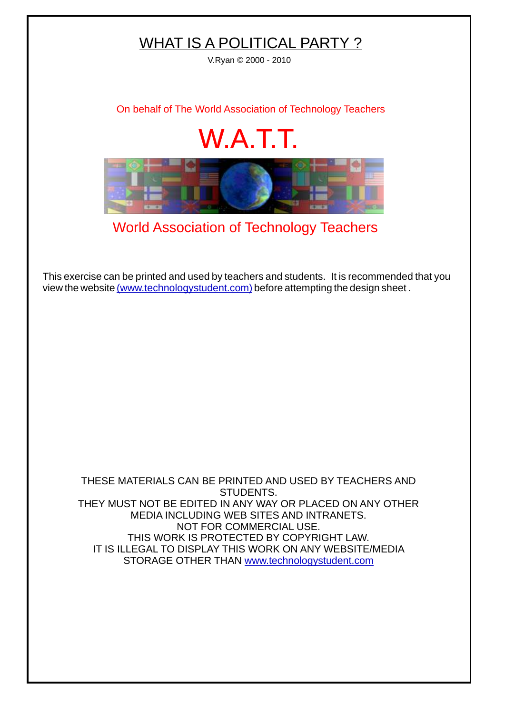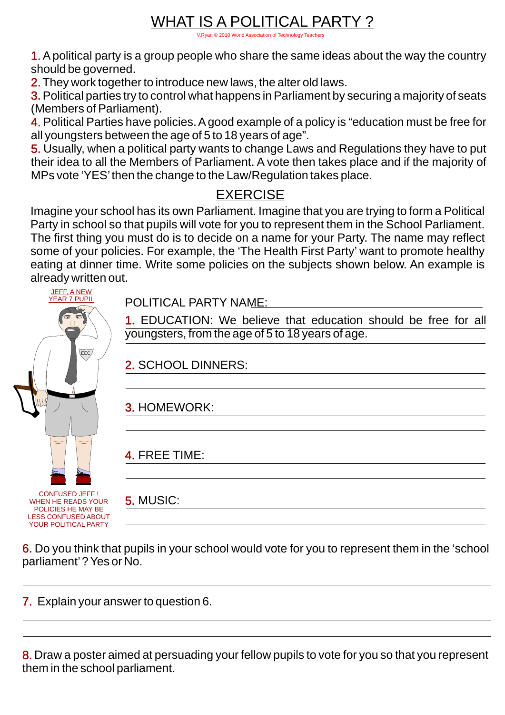### WHAT IS A POLITICAL PARTY ?

[V.Ryan © 2010 World Association of Technology Teachers](http://www.technologystudent.com)

1. Apolitical party is a group people who share the same ideas about the way the country should be governed.

2. They work together to introduce new laws, the alter old laws.

3. Political parties try to control what happens in Parliament by securing a majority of seats (Members of Parliament).

4. Political Parties have policies. Agood example of a policy is "education must be free for all youngsters between the age of 5 to 18 years of age".

5. Usually, when a political party wants to change Laws and Regulations they have to put their idea to all the Members of Parliament. A vote then takes place and if the majority of MPs vote 'YES'then the change to the Law/Regulation takes place.

#### **EXERCISE**

Imagine your school has its own Parliament. Imagine that you are trying to form a Political Party in school so that pupils will vote for you to represent them in the School Parliament. The first thing you must do is to decide on a name for your Party. The name may reflect some of your policies. For example, the 'The Health First Party' want to promote healthy eating at dinner time. Write some policies on the subjects shown below. An example is already written out.

| <b>JEFF, A NEW</b><br><b>YEAR 7 PUPIL</b>                                                                               |
|-------------------------------------------------------------------------------------------------------------------------|
| Ø<br>۵                                                                                                                  |
| EEC                                                                                                                     |
|                                                                                                                         |
|                                                                                                                         |
|                                                                                                                         |
| <b>CONFUSED JEFF!</b><br>WHEN I<br><b>READS YOUR</b><br>HE<br>POLICIES HE MAY BE<br><b>ESS CONFUSEI</b><br><b>LOGAC</b> |

YOUR POLITICAL PARTY

POLITICAL PARTY NAME:

1. EDUCATION: We believe that education should be free for all youngsters, from the age of 5 to 18 years of age.

2. SCHOOL DINNERS:

3. HOMEWORK:

4. FREE TIME:

5. MUSIC:

6. Do you think that pupils in your school would vote for you to represent them in the 'school parliament'? Yes or No.

7. Explain your answer to question 6.

8. Draw a poster aimed at persuading your fellow pupils to vote for you so that you represent them in the school parliament.